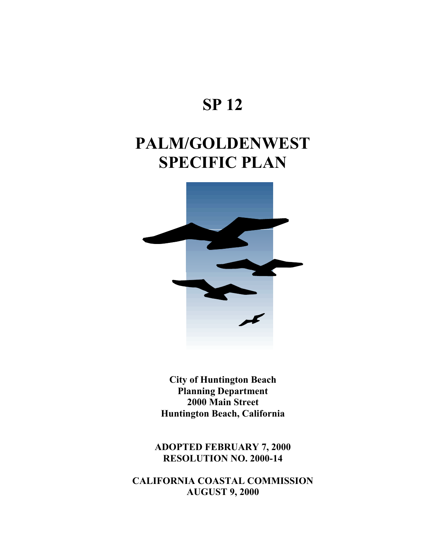## **SP 12**

# **PALM/GOLDENWEST SPECIFIC PLAN**



**City of Huntington Beach Planning Department 2000 Main Street Huntington Beach, California** 

**ADOPTED FEBRUARY 7, 2000 RESOLUTION NO. 2000-14** 

**CALIFORNIA COASTAL COMMISSION AUGUST 9, 2000**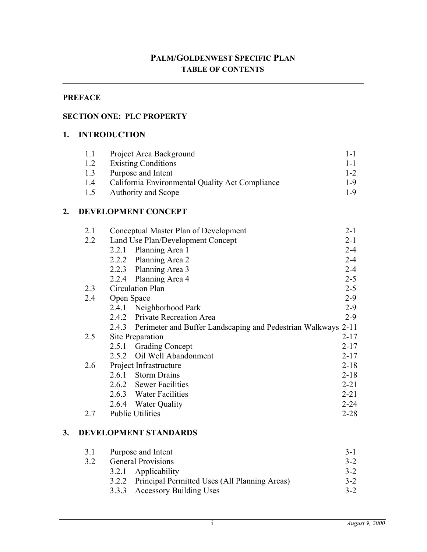## **PREFACE**

#### **SECTION ONE: PLC PROPERTY**

#### **1. INTRODUCTION**

| 1.1 | Project Area Background                         | $1 - 1$ |
|-----|-------------------------------------------------|---------|
| 1.2 | <b>Existing Conditions</b>                      | $1 - 1$ |
| 1.3 | Purpose and Intent                              | $1 - 2$ |
| 1.4 | California Environmental Quality Act Compliance | $1 - 9$ |
| 1.5 | Authority and Scope                             | 1-9     |

#### **2. DEVELOPMENT CONCEPT**

| 2.1 |            | Conceptual Master Plan of Development                               | $2 - 1$  |
|-----|------------|---------------------------------------------------------------------|----------|
| 2.2 |            | Land Use Plan/Development Concept                                   | $2 - 1$  |
|     | 2.2.1      | Planning Area 1                                                     | $2 - 4$  |
|     | 2.2.2      | Planning Area 2                                                     | $2 - 4$  |
|     |            | 2.2.3 Planning Area 3                                               | $2 - 4$  |
|     | 2.2.4      | Planning Area 4                                                     | $2 - 5$  |
| 2.3 |            | Circulation Plan                                                    | $2 - 5$  |
| 2.4 | Open Space |                                                                     | $2 - 9$  |
|     | 2.4.1      | Neighborhood Park                                                   | $2-9$    |
|     |            | 2.4.2 Private Recreation Area                                       | $2 - 9$  |
|     |            | 2.4.3 Perimeter and Buffer Landscaping and Pedestrian Walkways 2-11 |          |
| 2.5 |            | Site Preparation                                                    | $2 - 17$ |
|     | 2.5.1      | <b>Grading Concept</b>                                              | $2 - 17$ |
|     | 2.5.2      | Oil Well Abandonment                                                | $2 - 17$ |
| 2.6 |            | Project Infrastructure                                              | $2 - 18$ |
|     | 2.6.1      | <b>Storm Drains</b>                                                 | $2 - 18$ |
|     |            | 2.6.2 Sewer Facilities                                              | $2 - 21$ |
|     |            | 2.6.3 Water Facilities                                              | $2 - 21$ |
|     |            | 2.6.4 Water Quality                                                 | $2 - 24$ |
| 27  |            | <b>Public Utilities</b>                                             | $2 - 28$ |
|     |            |                                                                     |          |

#### **3. DEVELOPMENT STANDARDS**

| 3.1 | Purpose and Intent                                  | $3-1$   |
|-----|-----------------------------------------------------|---------|
| 3.2 | <b>General Provisions</b>                           | $3 - 2$ |
|     | 3.2.1 Applicability                                 | $3 - 2$ |
|     | 3.2.2 Principal Permitted Uses (All Planning Areas) | $3-2$   |
|     | 3.3.3 Accessory Building Uses                       | $3 - 2$ |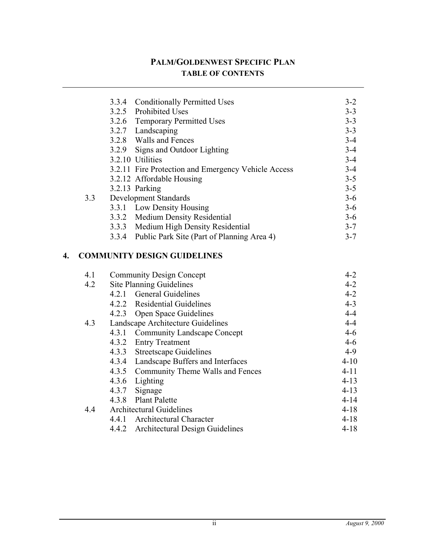|    |                     | <b>Conditionally Permitted Uses</b><br>3.3.4        | $3 - 2$        |
|----|---------------------|-----------------------------------------------------|----------------|
|    |                     | <b>Prohibited Uses</b><br>3.2.5                     | $3 - 3$        |
|    |                     | 3.2.6 Temporary Permitted Uses                      | $3 - 3$        |
|    |                     | 3.2.7 Landscaping                                   | $3 - 3$        |
|    |                     | 3.2.8 Walls and Fences                              | $3-4$          |
|    |                     | Signs and Outdoor Lighting<br>3.2.9                 | $3 - 4$        |
|    |                     | 3.2.10 Utilities                                    | $3-4$          |
|    |                     | 3.2.11 Fire Protection and Emergency Vehicle Access | $3-4$          |
|    |                     | 3.2.12 Affordable Housing                           | $3 - 5$        |
|    |                     | 3.2.13 Parking                                      | $3 - 5$        |
|    | 3.3                 | <b>Development Standards</b>                        | $3-6$          |
|    |                     | 3.3.1 Low Density Housing                           | $3 - 6$        |
|    |                     | 3.3.2 Medium Density Residential                    | $3-6$          |
|    |                     | 3.3.3 Medium High Density Residential               | $3 - 7$        |
|    |                     | Public Park Site (Part of Planning Area 4)<br>3.3.4 | $3 - 7$        |
|    |                     |                                                     |                |
| 4. |                     | <b>COMMUNITY DESIGN GUIDELINES</b>                  |                |
|    | 4.1                 | <b>Community Design Concept</b>                     | $4 - 2$        |
|    | 4.2                 | Site Planning Guidelines                            | $4 - 2$        |
|    |                     | 4.2.1 General Guidelines                            | $4 - 2$        |
|    |                     | 4.2.2 Residential Guidelines                        | $4 - 3$        |
|    |                     | 4.2.3 Open Space Guidelines                         | $4 - 4$        |
|    | 4.3                 | Landscape Architecture Guidelines                   | $4 - 4$        |
|    |                     | 4.3.1<br><b>Community Landscape Concept</b>         | $4 - 6$        |
|    |                     | 4.3.2<br><b>Entry Treatment</b>                     | $4 - 6$        |
|    |                     | 4.3.3<br><b>Streetscape Guidelines</b>              | $4-9$          |
|    |                     | 4.3.4<br>Landscape Buffers and Interfaces           | $4 - 10$       |
|    |                     | 4.3.5<br>Community Theme Walls and Fences           | $4 - 11$       |
|    |                     | 4.3.6 Lighting                                      | $4 - 13$       |
|    |                     | 4.3.7 Signage                                       | $4 - 13$       |
|    |                     | <b>Plant Palette</b><br>4.3.8                       | $4 - 14$       |
|    | $\Lambda$ $\Lambda$ | Architectural Guidelines                            | $A-1$ $\Omega$ |

|  | 4.4 Architectural Guidelines          | 4-18 |
|--|---------------------------------------|------|
|  | 4.4.1 Architectural Character         | 4-18 |
|  | 4.4.2 Architectural Design Guidelines | 4-18 |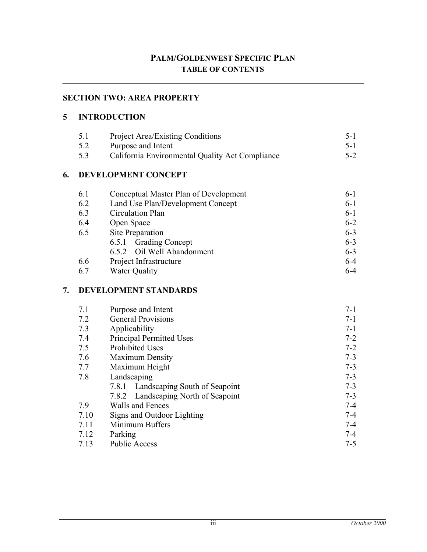## **SECTION TWO: AREA PROPERTY**

#### **5 INTRODUCTION**

| 5.1 | <b>Project Area/Existing Conditions</b>         | $5-1$ |
|-----|-------------------------------------------------|-------|
| 5.2 | Purpose and Intent                              | $5-1$ |
| 5.3 | California Environmental Quality Act Compliance | $5-2$ |

### **6. DEVELOPMENT CONCEPT**

| 6.1 | Conceptual Master Plan of Development | $6-1$   |
|-----|---------------------------------------|---------|
| 6.2 | Land Use Plan/Development Concept     | $6-1$   |
| 6.3 | Circulation Plan                      | $6-1$   |
| 6.4 | Open Space                            | $6 - 2$ |
| 6.5 | Site Preparation                      | $6 - 3$ |
|     | 6.5.1 Grading Concept                 | $6 - 3$ |
|     | 6.5.2 Oil Well Abandonment            | $6 - 3$ |
| 6.6 | Project Infrastructure                | $6 - 4$ |
| 6.7 | <b>Water Quality</b>                  | $6 - 4$ |

#### **7. DEVELOPMENT STANDARDS**

| 7.1  | Purpose and Intent                     | $7 - 1$ |
|------|----------------------------------------|---------|
| 7.2  | <b>General Provisions</b>              | $7 - 1$ |
| 7.3  | Applicability                          | $7 - 1$ |
| 7.4  | <b>Principal Permitted Uses</b>        | $7 - 2$ |
| 7.5  | <b>Prohibited Uses</b>                 | $7 - 2$ |
| 7.6  | <b>Maximum Density</b>                 | $7 - 3$ |
| 7.7  | Maximum Height                         | $7 - 3$ |
| 7.8  | Landscaping                            | $7 - 3$ |
|      | Landscaping South of Seapoint<br>7.8.1 | $7 - 3$ |
|      | Landscaping North of Seapoint<br>7.8.2 | $7 - 3$ |
| 7.9  | Walls and Fences                       | $7 - 4$ |
| 7.10 | Signs and Outdoor Lighting             | $7 - 4$ |
| 7.11 | Minimum Buffers                        | $7 - 4$ |
| 7.12 | Parking                                | $7 - 4$ |
| 7.13 | <b>Public Access</b>                   | $7 - 5$ |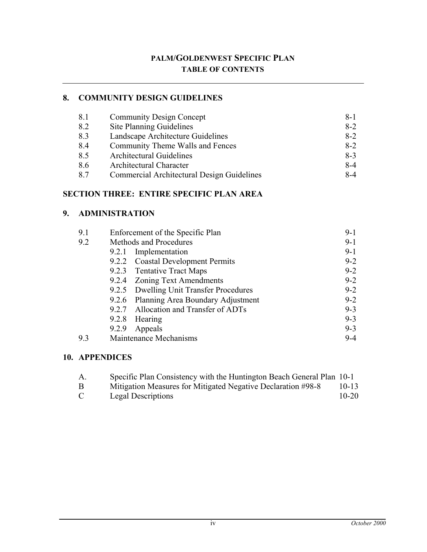## **8. COMMUNITY DESIGN GUIDELINES**

| 8.1 | <b>Community Design Concept</b>            | $8 - 1$ |
|-----|--------------------------------------------|---------|
| 8.2 | <b>Site Planning Guidelines</b>            | $8-2$   |
| 8.3 | Landscape Architecture Guidelines          | $8-2$   |
| 8.4 | Community Theme Walls and Fences           | $8-2$   |
| 8.5 | <b>Architectural Guidelines</b>            | $8-3$   |
| 8.6 | Architectural Character                    | $8-4$   |
| 8.7 | Commercial Architectural Design Guidelines | 8-4     |

## **SECTION THREE: ENTIRE SPECIFIC PLAN AREA**

#### **9. ADMINISTRATION**

| 9.1 | Enforcement of the Specific Plan |                                         |         |
|-----|----------------------------------|-----------------------------------------|---------|
| 9.2 | Methods and Procedures           |                                         | $9-1$   |
|     |                                  | 9.2.1 Implementation                    | $9-1$   |
|     |                                  | 9.2.2 Coastal Development Permits       | $9 - 2$ |
|     |                                  | 9.2.3 Tentative Tract Maps              | $9 - 2$ |
|     |                                  | 9.2.4 Zoning Text Amendments            | $9 - 2$ |
|     |                                  | 9.2.5 Dwelling Unit Transfer Procedures | $9 - 2$ |
|     |                                  | 9.2.6 Planning Area Boundary Adjustment | $9 - 2$ |
|     |                                  | 9.2.7 Allocation and Transfer of ADTs   | $9 - 3$ |
|     |                                  | 9.2.8 Hearing                           | $9 - 3$ |
|     |                                  | 9.2.9 Appeals                           | $9 - 3$ |
| 9.3 |                                  | Maintenance Mechanisms                  | $9 - 4$ |

## **10. APPENDICES**

| A.            | Specific Plan Consistency with the Huntington Beach General Plan 10-1 |           |
|---------------|-----------------------------------------------------------------------|-----------|
| B             | Mitigation Measures for Mitigated Negative Declaration #98-8          | $10 - 13$ |
| $\mathcal{C}$ | Legal Descriptions                                                    | $10 - 20$ |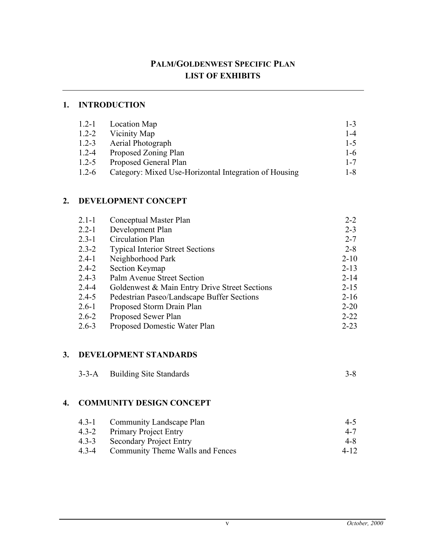## **PALM/GOLDENWEST SPECIFIC PLAN LIST OF EXHIBITS**

## **1. INTRODUCTION**

| $1.2 - 1$ | Location Map                                          | $1 - 3$ |
|-----------|-------------------------------------------------------|---------|
| $1.2 - 2$ | Vicinity Map                                          | $1 - 4$ |
| $1.2 - 3$ | <b>Aerial Photograph</b>                              | $1 - 5$ |
| $1.2 - 4$ | Proposed Zoning Plan                                  | $1-6$   |
| $1.2 - 5$ | Proposed General Plan                                 | $1 - 7$ |
| $1.2 - 6$ | Category: Mixed Use-Horizontal Integration of Housing | 1-8     |

## **2. DEVELOPMENT CONCEPT**

| $2.1 - 1$ | Conceptual Master Plan                        | $2 - 2$  |
|-----------|-----------------------------------------------|----------|
| $2.2 - 1$ | Development Plan                              | $2 - 3$  |
| $2.3 - 1$ | Circulation Plan                              | $2 - 7$  |
| $2.3 - 2$ | <b>Typical Interior Street Sections</b>       | $2 - 8$  |
| $2.4 - 1$ | Neighborhood Park                             | $2 - 10$ |
| $2.4 - 2$ | Section Keymap                                | $2 - 13$ |
| $2.4 - 3$ | Palm Avenue Street Section                    | $2 - 14$ |
| $2.4 - 4$ | Goldenwest & Main Entry Drive Street Sections | $2 - 15$ |
| $2.4 - 5$ | Pedestrian Paseo/Landscape Buffer Sections    | $2 - 16$ |
| $2.6 - 1$ | Proposed Storm Drain Plan                     | $2 - 20$ |
| $2.6 - 2$ | Proposed Sewer Plan                           | $2 - 22$ |
| $2.6 - 3$ | Proposed Domestic Water Plan                  | $2 - 23$ |

#### **3. DEVELOPMENT STANDARDS**

| 3-3-A Building Site Standards |  |
|-------------------------------|--|
|                               |  |

#### **4. COMMUNITY DESIGN CONCEPT**

|           | 4.3-1 Community Landscape Plan   | $4 - 5$ |
|-----------|----------------------------------|---------|
|           | 4.3-2 Primary Project Entry      | $4 - 7$ |
| $4.3 - 3$ | <b>Secondary Project Entry</b>   | 4-8     |
| 4.3-4     | Community Theme Walls and Fences | 4-12    |